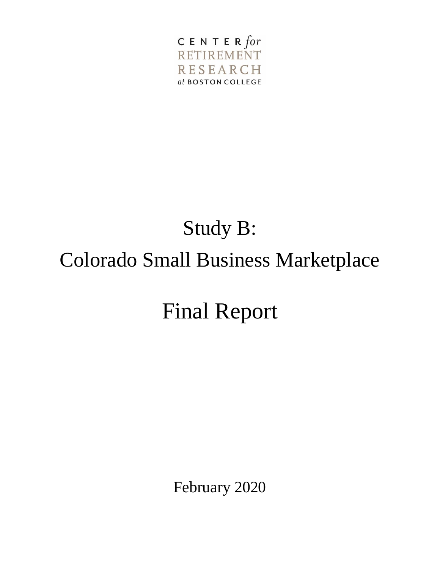

# Study B: Colorado Small Business Marketplace

# Final Report

February 2020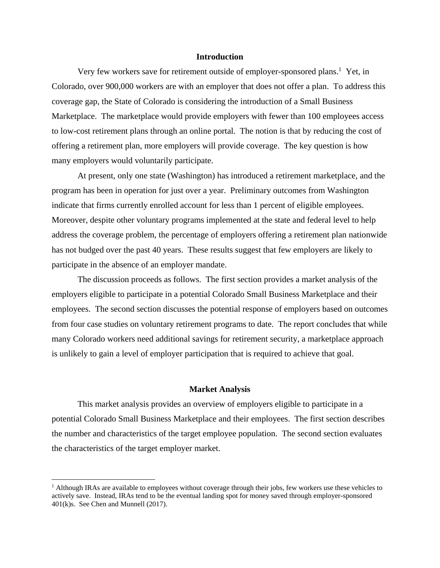#### **Introduction**

Very few workers save for retirement outside of employer-sponsored plans.<sup>1</sup> Yet, in Colorado, over 900,000 workers are with an employer that does not offer a plan. To address this coverage gap, the State of Colorado is considering the introduction of a Small Business Marketplace. The marketplace would provide employers with fewer than 100 employees access to low-cost retirement plans through an online portal. The notion is that by reducing the cost of offering a retirement plan, more employers will provide coverage. The key question is how many employers would voluntarily participate.

At present, only one state (Washington) has introduced a retirement marketplace, and the program has been in operation for just over a year. Preliminary outcomes from Washington indicate that firms currently enrolled account for less than 1 percent of eligible employees. Moreover, despite other voluntary programs implemented at the state and federal level to help address the coverage problem, the percentage of employers offering a retirement plan nationwide has not budged over the past 40 years. These results suggest that few employers are likely to participate in the absence of an employer mandate.

The discussion proceeds as follows. The first section provides a market analysis of the employers eligible to participate in a potential Colorado Small Business Marketplace and their employees. The second section discusses the potential response of employers based on outcomes from four case studies on voluntary retirement programs to date. The report concludes that while many Colorado workers need additional savings for retirement security, a marketplace approach is unlikely to gain a level of employer participation that is required to achieve that goal.

#### **Market Analysis**

This market analysis provides an overview of employers eligible to participate in a potential Colorado Small Business Marketplace and their employees. The first section describes the number and characteristics of the target employee population. The second section evaluates the characteristics of the target employer market.

 $<sup>1</sup>$  Although IRAs are available to employees without coverage through their jobs, few workers use these vehicles to</sup> actively save. Instead, IRAs tend to be the eventual landing spot for money saved through employer-sponsored 401(k)s. See Chen and Munnell (2017).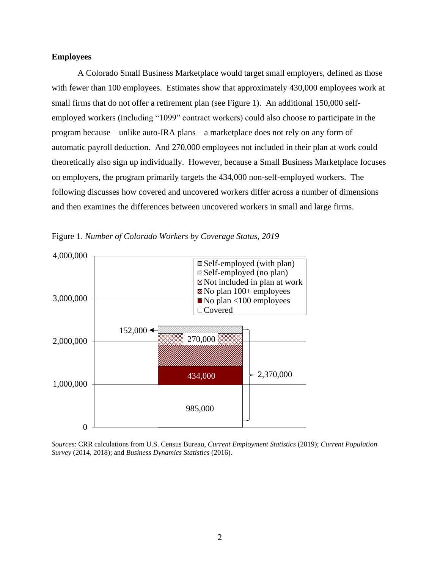#### **Employees**

A Colorado Small Business Marketplace would target small employers, defined as those with fewer than 100 employees. Estimates show that approximately 430,000 employees work at small firms that do not offer a retirement plan (see Figure 1). An additional 150,000 selfemployed workers (including "1099" contract workers) could also choose to participate in the program because – unlike auto-IRA plans – a marketplace does not rely on any form of automatic payroll deduction. And 270,000 employees not included in their plan at work could theoretically also sign up individually. However, because a Small Business Marketplace focuses on employers, the program primarily targets the 434,000 non-self-employed workers. The following discusses how covered and uncovered workers differ across a number of dimensions and then examines the differences between uncovered workers in small and large firms.





*Sources*: CRR calculations from U.S. Census Bureau, *Current Employment Statistics* (2019); *Current Population Survey* (2014, 2018); and *Business Dynamics Statistics* (2016).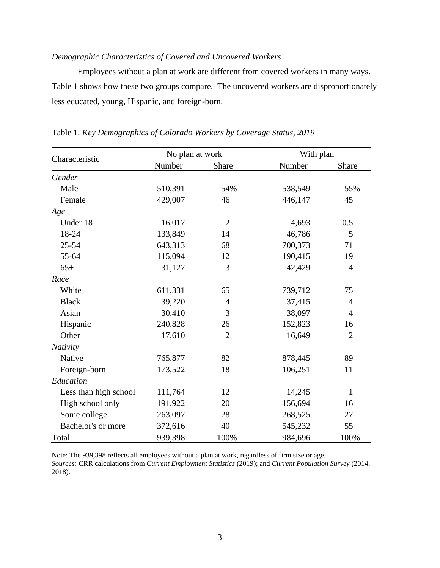# *Demographic Characteristics of Covered and Uncovered Workers*

Employees without a plan at work are different from covered workers in many ways. Table 1 shows how these two groups compare. The uncovered workers are disproportionately less educated, young, Hispanic, and foreign-born.

| Characteristic        | No plan at work |                | With plan |                |
|-----------------------|-----------------|----------------|-----------|----------------|
|                       | Number          | Share          | Number    | Share          |
| Gender                |                 |                |           |                |
| Male                  | 510,391         | 54%            | 538,549   | 55%            |
| Female                | 429,007         | 46             | 446,147   | 45             |
| Age                   |                 |                |           |                |
| Under 18              | 16,017          | $\overline{2}$ | 4,693     | 0.5            |
| 18-24                 | 133,849         | 14             | 46,786    | 5              |
| $25 - 54$             | 643,313         | 68             | 700,373   | 71             |
| 55-64                 | 115,094         | 12             | 190,415   | 19             |
| $65+$                 | 31,127          | 3              | 42,429    | $\overline{4}$ |
| Race                  |                 |                |           |                |
| White                 | 611,331         | 65             | 739,712   | 75             |
| <b>Black</b>          | 39,220          | $\overline{4}$ | 37,415    | 4              |
| Asian                 | 30,410          | 3              | 38,097    | 4              |
| Hispanic              | 240,828         | 26             | 152,823   | 16             |
| Other                 | 17,610          | $\overline{2}$ | 16,649    | $\overline{2}$ |
| Nativity              |                 |                |           |                |
| Native                | 765,877         | 82             | 878,445   | 89             |
| Foreign-born          | 173,522         | 18             | 106,251   | 11             |
| Education             |                 |                |           |                |
| Less than high school | 111,764         | 12             | 14,245    | $\mathbf{1}$   |
| High school only      | 191,922         | 20             | 156,694   | 16             |
| Some college          | 263,097         | 28             | 268,525   | 27             |
| Bachelor's or more    | 372,616         | 40             | 545,232   | 55             |
| Total                 | 939,398         | 100%           | 984,696   | 100%           |

Table 1. *Key Demographics of Colorado Workers by Coverage Status, 2019*

Note: The 939,398 reflects all employees without a plan at work, regardless of firm size or age. *Sources:* CRR calculations from *Current Employment Statistics* (2019); and *Current Population Survey* (2014, 2018).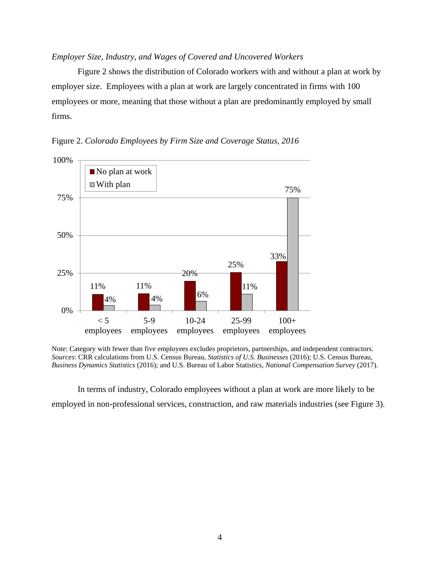#### *Employer Size, Industry, and Wages of Covered and Uncovered Workers*

Figure 2 shows the distribution of Colorado workers with and without a plan at work by employer size. Employees with a plan at work are largely concentrated in firms with 100 employees or more, meaning that those without a plan are predominantly employed by small firms.



Figure 2. *Colorado Employees by Firm Size and Coverage Status, 2016*

Note: Category with fewer than five employees excludes proprietors, partnerships, and independent contractors. *Sources*: CRR calculations from U.S. Census Bureau, *Statistics of U.S. Businesses* (2016); U.S. Census Bureau, *Business Dynamics Statistics* (2016); and U.S. Bureau of Labor Statistics, *National Compensation Survey* (2017).

In terms of industry, Colorado employees without a plan at work are more likely to be employed in non-professional services, construction, and raw materials industries (see Figure 3).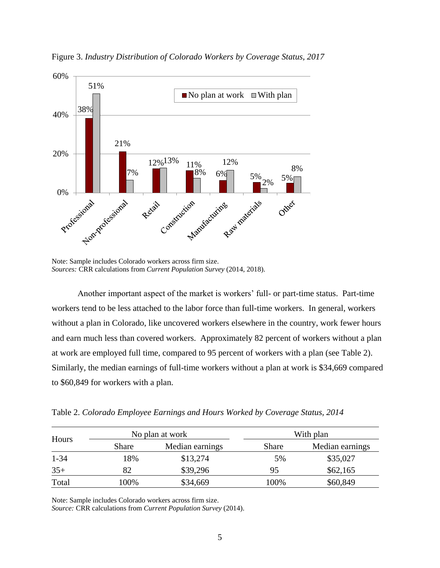

Figure 3. *Industry Distribution of Colorado Workers by Coverage Status, 2017*

Note: Sample includes Colorado workers across firm size. *Sources:* CRR calculations from *Current Population Survey* (2014, 2018).

Another important aspect of the market is workers' full- or part-time status. Part-time workers tend to be less attached to the labor force than full-time workers. In general, workers without a plan in Colorado, like uncovered workers elsewhere in the country, work fewer hours and earn much less than covered workers. Approximately 82 percent of workers without a plan at work are employed full time, compared to 95 percent of workers with a plan (see Table 2). Similarly, the median earnings of full-time workers without a plan at work is \$34,669 compared to \$60,849 for workers with a plan.

Table 2. *Colorado Employee Earnings and Hours Worked by Coverage Status, 2014*

| Hours    |       | No plan at work | With plan |                 |  |
|----------|-------|-----------------|-----------|-----------------|--|
|          | Share | Median earnings | Share     | Median earnings |  |
| $1 - 34$ | 18%   | \$13,274        | 5%        | \$35,027        |  |
| $35+$    | 82    | \$39,296        | 95        | \$62,165        |  |
| Total    | 100%  | \$34,669        | 100%      | \$60,849        |  |

Note: Sample includes Colorado workers across firm size.

*Source:* CRR calculations from *Current Population Survey* (2014).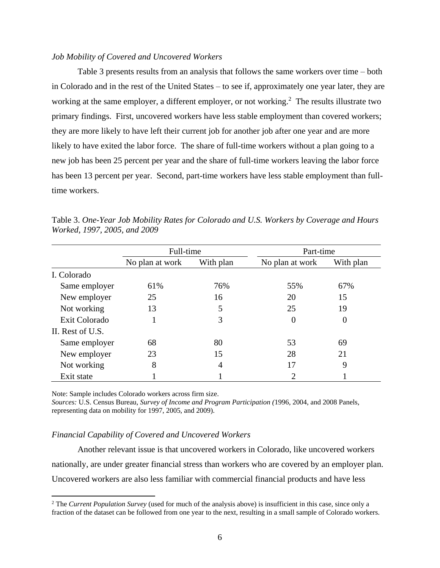#### *Job Mobility of Covered and Uncovered Workers*

Table 3 presents results from an analysis that follows the same workers over time – both in Colorado and in the rest of the United States – to see if, approximately one year later, they are working at the same employer, a different employer, or not working.<sup>2</sup> The results illustrate two primary findings. First, uncovered workers have less stable employment than covered workers; they are more likely to have left their current job for another job after one year and are more likely to have exited the labor force. The share of full-time workers without a plan going to a new job has been 25 percent per year and the share of full-time workers leaving the labor force has been 13 percent per year. Second, part-time workers have less stable employment than fulltime workers.

|                  | Full-time       |           | Part-time       |           |
|------------------|-----------------|-----------|-----------------|-----------|
|                  | No plan at work | With plan | No plan at work | With plan |
| I. Colorado      |                 |           |                 |           |
| Same employer    | 61%             | 76%       | 55%             | 67%       |
| New employer     | 25              | 16        | 20              | 15        |
| Not working      | 13              | 5         | 25              | 19        |
| Exit Colorado    |                 | 3         | $\Omega$        | $\theta$  |
| II. Rest of U.S. |                 |           |                 |           |
| Same employer    | 68              | 80        | 53              | 69        |
| New employer     | 23              | 15        | 28              | 21        |
| Not working      | 8               | 4         | 17              | 9         |
| Exit state       |                 |           |                 |           |

Table 3. *One-Year Job Mobility Rates for Colorado and U.S. Workers by Coverage and Hours Worked, 1997, 2005, and 2009*

Note: Sample includes Colorado workers across firm size.

 $\overline{\phantom{a}}$ 

*Sources:* U.S. Census Bureau, *Survey of Income and Program Participation (*1996, 2004, and 2008 Panels, representing data on mobility for 1997, 2005, and 2009).

#### *Financial Capability of Covered and Uncovered Workers*

Another relevant issue is that uncovered workers in Colorado, like uncovered workers nationally, are under greater financial stress than workers who are covered by an employer plan. Uncovered workers are also less familiar with commercial financial products and have less

<sup>2</sup> The *Current Population Survey* (used for much of the analysis above) is insufficient in this case, since only a fraction of the dataset can be followed from one year to the next, resulting in a small sample of Colorado workers.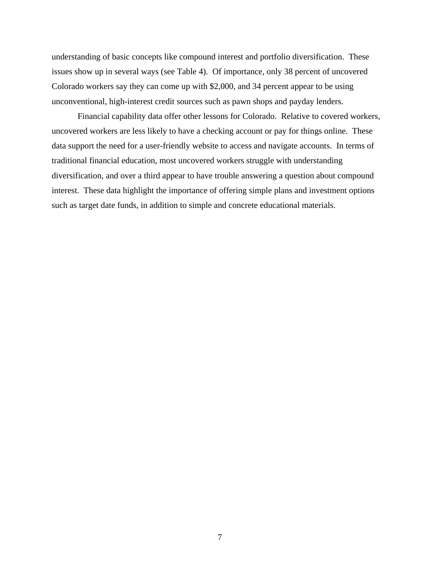understanding of basic concepts like compound interest and portfolio diversification. These issues show up in several ways (see Table 4). Of importance, only 38 percent of uncovered Colorado workers say they can come up with \$2,000, and 34 percent appear to be using unconventional, high-interest credit sources such as pawn shops and payday lenders.

Financial capability data offer other lessons for Colorado. Relative to covered workers, uncovered workers are less likely to have a checking account or pay for things online. These data support the need for a user-friendly website to access and navigate accounts. In terms of traditional financial education, most uncovered workers struggle with understanding diversification, and over a third appear to have trouble answering a question about compound interest. These data highlight the importance of offering simple plans and investment options such as target date funds, in addition to simple and concrete educational materials.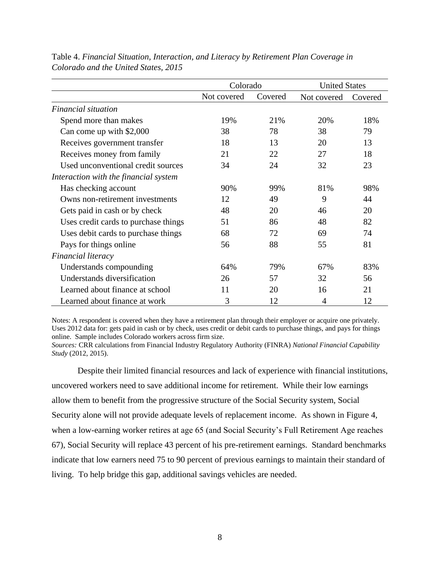|                                       | Colorado    |         | <b>United States</b> |         |
|---------------------------------------|-------------|---------|----------------------|---------|
|                                       | Not covered | Covered | Not covered          | Covered |
| Financial situation                   |             |         |                      |         |
| Spend more than makes                 | 19%         | 21%     | 20%                  | 18%     |
| Can come up with \$2,000              | 38          | 78      | 38                   | 79      |
| Receives government transfer          | 18          | 13      | 20                   | 13      |
| Receives money from family            | 21          | 22      | 27                   | 18      |
| Used unconventional credit sources    | 34          | 24      | 32                   | 23      |
| Interaction with the financial system |             |         |                      |         |
| Has checking account                  | 90%         | 99%     | 81%                  | 98%     |
| Owns non-retirement investments       | 12          | 49      | 9                    | 44      |
| Gets paid in cash or by check         | 48          | 20      | 46                   | 20      |
| Uses credit cards to purchase things  | 51          | 86      | 48                   | 82      |
| Uses debit cards to purchase things   | 68          | 72      | 69                   | 74      |
| Pays for things online                | 56          | 88      | 55                   | 81      |
| Financial literacy                    |             |         |                      |         |
| Understands compounding               | 64%         | 79%     | 67%                  | 83%     |
| Understands diversification           | 26          | 57      | 32                   | 56      |
| Learned about finance at school       | 11          | 20      | 16                   | 21      |
| Learned about finance at work         | 3           | 12      | 4                    | 12      |

Table 4. *Financial Situation, Interaction, and Literacy by Retirement Plan Coverage in Colorado and the United States, 2015*

Notes: A respondent is covered when they have a retirement plan through their employer or acquire one privately. Uses 2012 data for: gets paid in cash or by check, uses credit or debit cards to purchase things, and pays for things online. Sample includes Colorado workers across firm size.

*Sources:* CRR calculations from Financial Industry Regulatory Authority (FINRA) *National Financial Capability Study* (2012, 2015).

Despite their limited financial resources and lack of experience with financial institutions, uncovered workers need to save additional income for retirement. While their low earnings allow them to benefit from the progressive structure of the Social Security system, Social Security alone will not provide adequate levels of replacement income. As shown in Figure 4, when a low-earning worker retires at age 65 (and Social Security's Full Retirement Age reaches 67), Social Security will replace 43 percent of his pre-retirement earnings. Standard benchmarks indicate that low earners need 75 to 90 percent of previous earnings to maintain their standard of living. To help bridge this gap, additional savings vehicles are needed.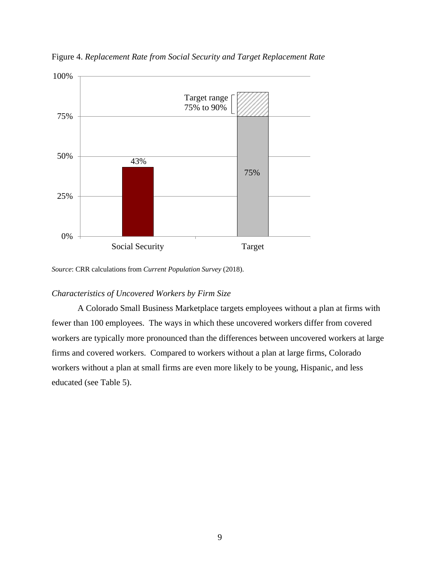

Figure 4. *Replacement Rate from Social Security and Target Replacement Rate*

*Source*: CRR calculations from *Current Population Survey* (2018).

# *Characteristics of Uncovered Workers by Firm Size*

A Colorado Small Business Marketplace targets employees without a plan at firms with fewer than 100 employees. The ways in which these uncovered workers differ from covered workers are typically more pronounced than the differences between uncovered workers at large firms and covered workers. Compared to workers without a plan at large firms, Colorado workers without a plan at small firms are even more likely to be young, Hispanic, and less educated (see Table 5).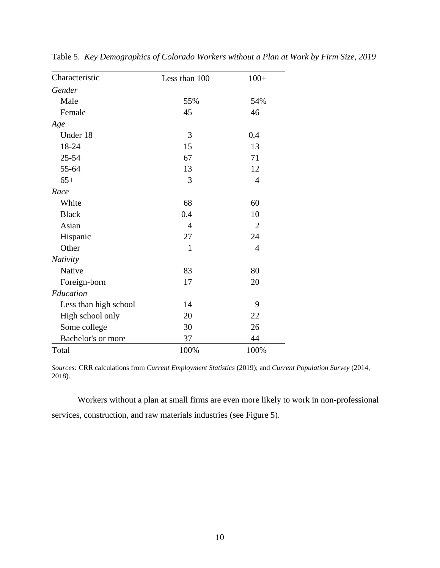| Characteristic        | Less than 100  | $100+$         |
|-----------------------|----------------|----------------|
| Gender                |                |                |
| Male                  | 55%            | 54%            |
| Female                | 45             | 46             |
| Age                   |                |                |
| Under 18              | 3              | 0.4            |
| 18-24                 | 15             | 13             |
| $25 - 54$             | 67             | 71             |
| 55-64                 | 13             | 12             |
| $65+$                 | 3              | $\overline{4}$ |
| Race                  |                |                |
| White                 | 68             | 60             |
| <b>Black</b>          | 0.4            | 10             |
| Asian                 | $\overline{4}$ | $\overline{2}$ |
| Hispanic              | 27             | 24             |
| Other                 | 1              | $\overline{4}$ |
| <b>Nativity</b>       |                |                |
| Native                | 83             | 80             |
| Foreign-born          | 17             | 20             |
| Education             |                |                |
| Less than high school | 14             | 9              |
| High school only      | 20             | 22             |
| Some college          | 30             | 26             |
| Bachelor's or more    | 37             | 44             |
| Total                 | 100%           | 100%           |

Table 5. *Key Demographics of Colorado Workers without a Plan at Work by Firm Size, 2019*

*Sources:* CRR calculations from *Current Employment Statistics* (2019); and *Current Population Survey* (2014, 2018).

Workers without a plan at small firms are even more likely to work in non-professional services, construction, and raw materials industries (see Figure 5).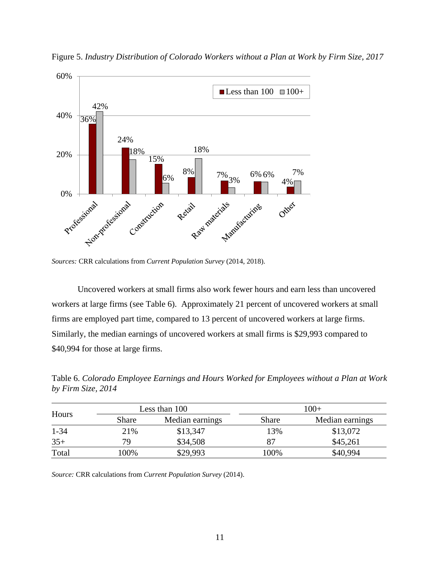

Figure 5. *Industry Distribution of Colorado Workers without a Plan at Work by Firm Size, 2017*

*Sources:* CRR calculations from *Current Population Survey* (2014, 2018).

Uncovered workers at small firms also work fewer hours and earn less than uncovered workers at large firms (see Table 6). Approximately 21 percent of uncovered workers at small firms are employed part time, compared to 13 percent of uncovered workers at large firms. Similarly, the median earnings of uncovered workers at small firms is \$29,993 compared to \$40,994 for those at large firms.

| Hours    |              | Less than 100   |              | $100+$          |  |
|----------|--------------|-----------------|--------------|-----------------|--|
|          | <b>Share</b> | Median earnings | <b>Share</b> | Median earnings |  |
| $1 - 34$ | 21%          | \$13,347        | 13%          | \$13,072        |  |
| $35+$    | 79           | \$34,508        |              | \$45,261        |  |
| Total    | 100%         | \$29,993        | 100%         | \$40,994        |  |

Table 6. *Colorado Employee Earnings and Hours Worked for Employees without a Plan at Work by Firm Size, 2014*

*Source:* CRR calculations from *Current Population Survey* (2014).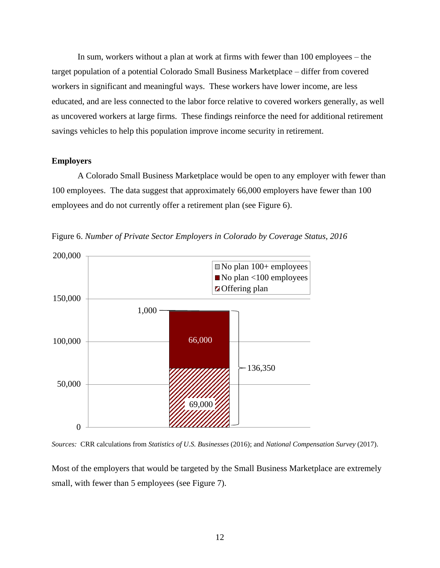In sum, workers without a plan at work at firms with fewer than 100 employees – the target population of a potential Colorado Small Business Marketplace – differ from covered workers in significant and meaningful ways. These workers have lower income, are less educated, and are less connected to the labor force relative to covered workers generally, as well as uncovered workers at large firms. These findings reinforce the need for additional retirement savings vehicles to help this population improve income security in retirement.

#### **Employers**

A Colorado Small Business Marketplace would be open to any employer with fewer than 100 employees. The data suggest that approximately 66,000 employers have fewer than 100 employees and do not currently offer a retirement plan (see Figure 6).

Figure 6. *Number of Private Sector Employers in Colorado by Coverage Status, 2016*



*Sources:* CRR calculations from *Statistics of U.S. Businesses* (2016); and *National Compensation Survey* (2017).

Most of the employers that would be targeted by the Small Business Marketplace are extremely small, with fewer than 5 employees (see Figure 7).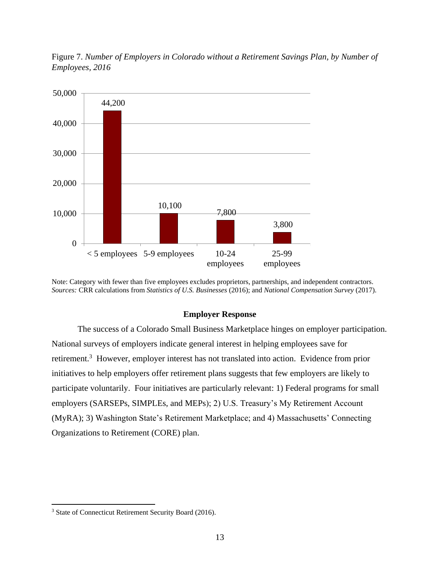

Figure 7. *Number of Employers in Colorado without a Retirement Savings Plan, by Number of Employees, 2016*

Note: Category with fewer than five employees excludes proprietors, partnerships, and independent contractors. *Sources:* CRR calculations from *Statistics of U.S. Businesses* (2016); and *National Compensation Survey* (2017).

#### **Employer Response**

The success of a Colorado Small Business Marketplace hinges on employer participation. National surveys of employers indicate general interest in helping employees save for retirement.<sup>3</sup> However, employer interest has not translated into action. Evidence from prior initiatives to help employers offer retirement plans suggests that few employers are likely to participate voluntarily. Four initiatives are particularly relevant: 1) Federal programs for small employers (SARSEPs, SIMPLEs, and MEPs); 2) U.S. Treasury's My Retirement Account (MyRA); 3) Washington State's Retirement Marketplace; and 4) Massachusetts' Connecting Organizations to Retirement (CORE) plan.

<sup>3</sup> State of Connecticut Retirement Security Board (2016).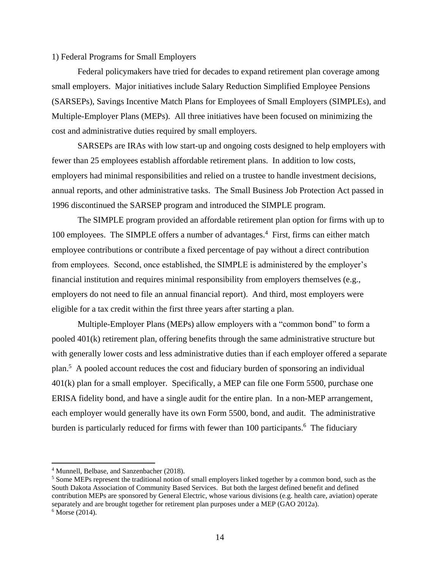#### 1) Federal Programs for Small Employers

Federal policymakers have tried for decades to expand retirement plan coverage among small employers. Major initiatives include Salary Reduction Simplified Employee Pensions (SARSEPs), Savings Incentive Match Plans for Employees of Small Employers (SIMPLEs), and Multiple-Employer Plans (MEPs). All three initiatives have been focused on minimizing the cost and administrative duties required by small employers.

SARSEPs are IRAs with low start-up and ongoing costs designed to help employers with fewer than 25 employees establish affordable retirement plans. In addition to low costs, employers had minimal responsibilities and relied on a trustee to handle investment decisions, annual reports, and other administrative tasks. The Small Business Job Protection Act passed in 1996 discontinued the SARSEP program and introduced the SIMPLE program.

The SIMPLE program provided an affordable retirement plan option for firms with up to 100 employees. The SIMPLE offers a number of advantages.<sup>4</sup> First, firms can either match employee contributions or contribute a fixed percentage of pay without a direct contribution from employees. Second, once established, the SIMPLE is administered by the employer's financial institution and requires minimal responsibility from employers themselves (e.g., employers do not need to file an annual financial report). And third, most employers were eligible for a tax credit within the first three years after starting a plan.

Multiple-Employer Plans (MEPs) allow employers with a "common bond" to form a pooled 401(k) retirement plan, offering benefits through the same administrative structure but with generally lower costs and less administrative duties than if each employer offered a separate plan. 5 A pooled account reduces the cost and fiduciary burden of sponsoring an individual 401(k) plan for a small employer. Specifically, a MEP can file one Form 5500, purchase one ERISA fidelity bond, and have a single audit for the entire plan. In a non-MEP arrangement, each employer would generally have its own Form 5500, bond, and audit. The administrative burden is particularly reduced for firms with fewer than 100 participants.<sup>6</sup> The fiduciary

<sup>4</sup> Munnell, Belbase, and Sanzenbacher (2018).

<sup>5</sup> Some MEPs represent the traditional notion of small employers linked together by a common bond, such as the South Dakota Association of Community Based Services. But both the largest defined benefit and defined contribution MEPs are sponsored by General Electric, whose various divisions (e.g. health care, aviation) operate separately and are brought together for retirement plan purposes under a MEP (GAO 2012a).  $6$  Morse (2014).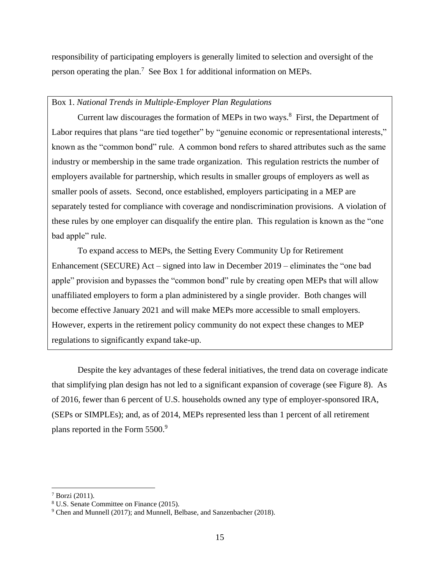responsibility of participating employers is generally limited to selection and oversight of the person operating the plan.<sup>7</sup> See Box 1 for additional information on MEPs.

# Box 1. *National Trends in Multiple-Employer Plan Regulations*

Current law discourages the formation of MEPs in two ways.<sup>8</sup> First, the Department of Labor requires that plans "are tied together" by "genuine economic or representational interests," known as the "common bond" rule. A common bond refers to shared attributes such as the same industry or membership in the same trade organization. This regulation restricts the number of employers available for partnership, which results in smaller groups of employers as well as smaller pools of assets. Second, once established, employers participating in a MEP are separately tested for compliance with coverage and nondiscrimination provisions. A violation of these rules by one employer can disqualify the entire plan. This regulation is known as the "one bad apple" rule.

To expand access to MEPs, the Setting Every Community Up for Retirement Enhancement (SECURE) Act – signed into law in December 2019 – eliminates the "one bad apple" provision and bypasses the "common bond" rule by creating open MEPs that will allow unaffiliated employers to form a plan administered by a single provider. Both changes will become effective January 2021 and will make MEPs more accessible to small employers. However, experts in the retirement policy community do not expect these changes to MEP regulations to significantly expand take-up.

Despite the key advantages of these federal initiatives, the trend data on coverage indicate that simplifying plan design has not led to a significant expansion of coverage (see Figure 8). As of 2016, fewer than 6 percent of U.S. households owned any type of employer-sponsored IRA, (SEPs or SIMPLEs); and, as of 2014, MEPs represented less than 1 percent of all retirement plans reported in the Form 5500.<sup>9</sup>

 $7$  Borzi (2011).

<sup>8</sup> U.S. Senate Committee on Finance (2015).

<sup>9</sup> Chen and Munnell (2017); and Munnell, Belbase, and Sanzenbacher (2018).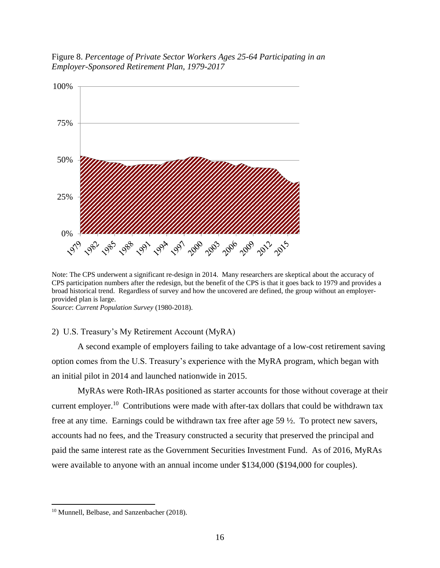Figure 8. *Percentage of Private Sector Workers Ages 25-64 Participating in an Employer-Sponsored Retirement Plan, 1979-2017*



Note: The CPS underwent a significant re-design in 2014. Many researchers are skeptical about the accuracy of CPS participation numbers after the redesign, but the benefit of the CPS is that it goes back to 1979 and provides a broad historical trend. Regardless of survey and how the uncovered are defined, the group without an employerprovided plan is large.

*Source*: *Current Population Survey* (1980-2018).

#### 2) U.S. Treasury's My Retirement Account (MyRA)

A second example of employers failing to take advantage of a low-cost retirement saving option comes from the U.S. Treasury's experience with the MyRA program, which began with an initial pilot in 2014 and launched nationwide in 2015.

MyRAs were Roth-IRAs positioned as starter accounts for those without coverage at their current employer.<sup>10</sup> Contributions were made with after-tax dollars that could be withdrawn tax free at any time. Earnings could be withdrawn tax free after age 59 ½. To protect new savers, accounts had no fees, and the Treasury constructed a security that preserved the principal and paid the same interest rate as the Government Securities Investment Fund. As of 2016, MyRAs were available to anyone with an annual income under \$134,000 (\$194,000 for couples).

<sup>&</sup>lt;sup>10</sup> Munnell, Belbase, and Sanzenbacher (2018).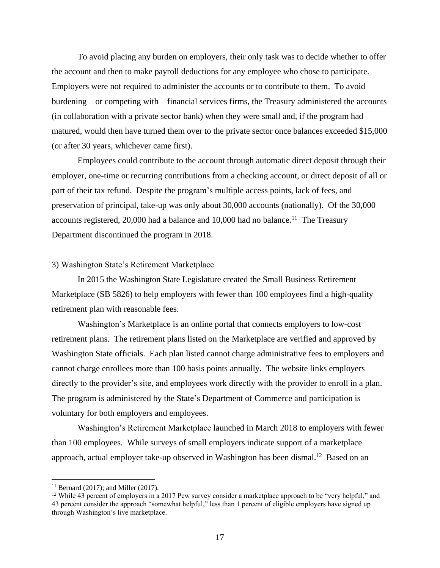To avoid placing any burden on employers, their only task was to decide whether to offer the account and then to make payroll deductions for any employee who chose to participate. Employers were not required to administer the accounts or to contribute to them. To avoid burdening – or competing with – financial services firms, the Treasury administered the accounts (in collaboration with a private sector bank) when they were small and, if the program had matured, would then have turned them over to the private sector once balances exceeded \$15,000 (or after 30 years, whichever came first).

Employees could contribute to the account through automatic direct deposit through their employer, one-time or recurring contributions from a checking account, or direct deposit of all or part of their tax refund. Despite the program's multiple access points, lack of fees, and preservation of principal, take-up was only about 30,000 accounts (nationally). Of the 30,000 accounts registered, 20,000 had a balance and 10,000 had no balance.<sup>11</sup> The Treasury Department discontinued the program in 2018.

#### 3) Washington State's Retirement Marketplace

In 2015 the Washington State Legislature created the Small Business Retirement Marketplace (SB 5826) to help employers with fewer than 100 employees find a high-quality retirement plan with reasonable fees.

Washington's Marketplace is an online portal that connects employers to low-cost retirement plans. The retirement plans listed on the Marketplace are verified and approved by Washington State officials. Each plan listed cannot charge administrative fees to employers and cannot charge enrollees more than 100 basis points annually. The website links employers directly to the provider's site, and employees work directly with the provider to enroll in a plan. The program is administered by the State's Department of Commerce and participation is voluntary for both employers and employees.

Washington's Retirement Marketplace launched in March 2018 to employers with fewer than 100 employees. While surveys of small employers indicate support of a marketplace approach, actual employer take-up observed in Washington has been dismal.<sup>12</sup> Based on an

<sup>&</sup>lt;sup>11</sup> Bernard (2017); and Miller (2017).

 $12$  While 43 percent of employers in a 2017 Pew survey consider a marketplace approach to be "very helpful," and 43 percent consider the approach "somewhat helpful," less than 1 percent of eligible employers have signed up through Washington's live marketplace.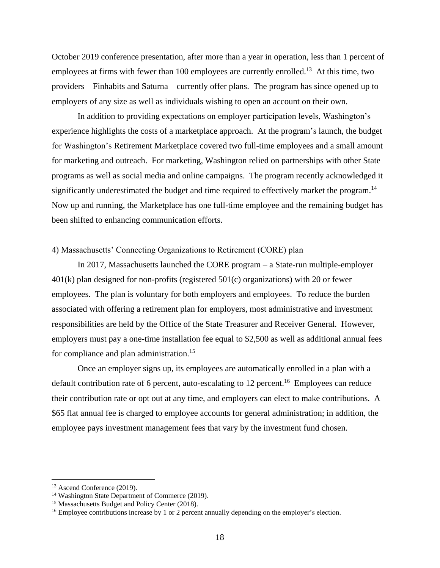October 2019 conference presentation, after more than a year in operation, less than 1 percent of employees at firms with fewer than 100 employees are currently enrolled.<sup>13</sup> At this time, two providers – Finhabits and Saturna – currently offer plans. The program has since opened up to employers of any size as well as individuals wishing to open an account on their own.

In addition to providing expectations on employer participation levels, Washington's experience highlights the costs of a marketplace approach. At the program's launch, the budget for Washington's Retirement Marketplace covered two full-time employees and a small amount for marketing and outreach. For marketing, Washington relied on partnerships with other State programs as well as social media and online campaigns. The program recently acknowledged it significantly underestimated the budget and time required to effectively market the program.<sup>14</sup> Now up and running, the Marketplace has one full-time employee and the remaining budget has been shifted to enhancing communication efforts.

# 4) Massachusetts' Connecting Organizations to Retirement (CORE) plan

In 2017, Massachusetts launched the CORE program – a State-run multiple-employer 401(k) plan designed for non-profits (registered 501(c) organizations) with 20 or fewer employees. The plan is voluntary for both employers and employees. To reduce the burden associated with offering a retirement plan for employers, most administrative and investment responsibilities are held by the Office of the State Treasurer and Receiver General. However, employers must pay a one-time installation fee equal to \$2,500 as well as additional annual fees for compliance and plan administration.<sup>15</sup>

Once an employer signs up, its employees are automatically enrolled in a plan with a default contribution rate of 6 percent, auto-escalating to 12 percent.<sup>16</sup> Employees can reduce their contribution rate or opt out at any time, and employers can elect to make contributions. A \$65 flat annual fee is charged to employee accounts for general administration; in addition, the employee pays investment management fees that vary by the investment fund chosen.

<sup>&</sup>lt;sup>13</sup> Ascend Conference (2019).

<sup>&</sup>lt;sup>14</sup> Washington State Department of Commerce (2019).

<sup>&</sup>lt;sup>15</sup> Massachusetts Budget and Policy Center (2018).

<sup>&</sup>lt;sup>16</sup> Employee contributions increase by 1 or 2 percent annually depending on the employer's election.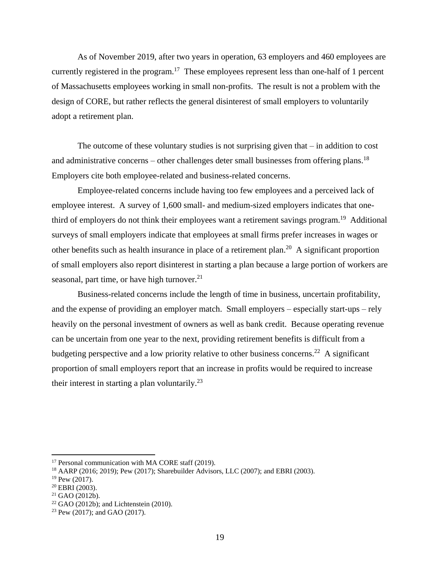As of November 2019, after two years in operation, 63 employers and 460 employees are currently registered in the program.<sup>17</sup> These employees represent less than one-half of 1 percent of Massachusetts employees working in small non-profits. The result is not a problem with the design of CORE, but rather reflects the general disinterest of small employers to voluntarily adopt a retirement plan.

The outcome of these voluntary studies is not surprising given that – in addition to cost and administrative concerns – other challenges deter small businesses from offering plans.<sup>18</sup> Employers cite both employee-related and business-related concerns.

Employee-related concerns include having too few employees and a perceived lack of employee interest. A survey of 1,600 small- and medium-sized employers indicates that onethird of employers do not think their employees want a retirement savings program.<sup>19</sup> Additional surveys of small employers indicate that employees at small firms prefer increases in wages or other benefits such as health insurance in place of a retirement plan.<sup>20</sup> A significant proportion of small employers also report disinterest in starting a plan because a large portion of workers are seasonal, part time, or have high turnover.<sup>21</sup>

Business-related concerns include the length of time in business, uncertain profitability, and the expense of providing an employer match. Small employers – especially start-ups – rely heavily on the personal investment of owners as well as bank credit. Because operating revenue can be uncertain from one year to the next, providing retirement benefits is difficult from a budgeting perspective and a low priority relative to other business concerns.<sup>22</sup> A significant proportion of small employers report that an increase in profits would be required to increase their interest in starting a plan voluntarily.<sup>23</sup>

<sup>&</sup>lt;sup>17</sup> Personal communication with MA CORE staff (2019).

<sup>18</sup> AARP (2016; 2019); Pew (2017); Sharebuilder Advisors, LLC (2007); and EBRI (2003).

 $19$  Pew (2017).

<sup>20</sup> EBRI (2003).

 $21$  GAO (2012b).

 $22$  GAO (2012b); and Lichtenstein (2010).

<sup>23</sup> Pew (2017); and GAO (2017).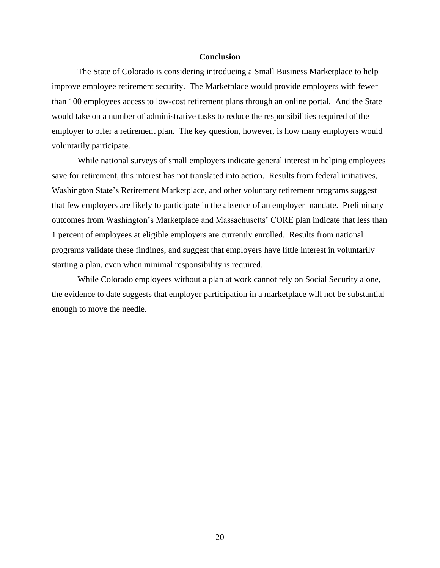### **Conclusion**

The State of Colorado is considering introducing a Small Business Marketplace to help improve employee retirement security. The Marketplace would provide employers with fewer than 100 employees access to low-cost retirement plans through an online portal. And the State would take on a number of administrative tasks to reduce the responsibilities required of the employer to offer a retirement plan. The key question, however, is how many employers would voluntarily participate.

While national surveys of small employers indicate general interest in helping employees save for retirement, this interest has not translated into action. Results from federal initiatives, Washington State's Retirement Marketplace, and other voluntary retirement programs suggest that few employers are likely to participate in the absence of an employer mandate. Preliminary outcomes from Washington's Marketplace and Massachusetts' CORE plan indicate that less than 1 percent of employees at eligible employers are currently enrolled. Results from national programs validate these findings, and suggest that employers have little interest in voluntarily starting a plan, even when minimal responsibility is required.

While Colorado employees without a plan at work cannot rely on Social Security alone, the evidence to date suggests that employer participation in a marketplace will not be substantial enough to move the needle.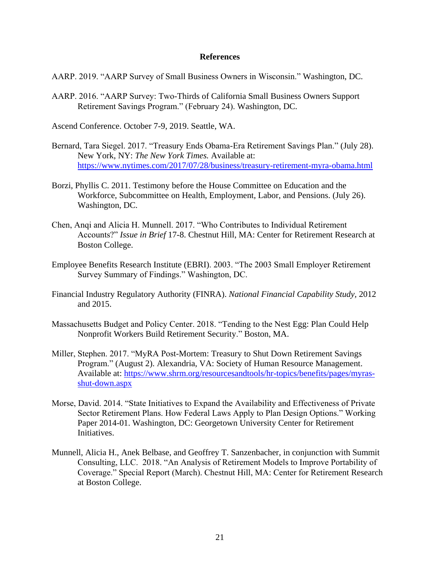#### **References**

- AARP. 2019. "AARP Survey of Small Business Owners in Wisconsin." Washington, DC.
- AARP. 2016. "AARP Survey: Two-Thirds of California Small Business Owners Support Retirement Savings Program." (February 24). Washington, DC.

Ascend Conference. October 7-9, 2019. Seattle, WA.

- Bernard, Tara Siegel. 2017. "Treasury Ends Obama-Era Retirement Savings Plan." (July 28). New York, NY: *The New York Times.* Available at: <https://www.nytimes.com/2017/07/28/business/treasury-retirement-myra-obama.html>
- Borzi, Phyllis C. 2011. Testimony before the House Committee on Education and the Workforce, Subcommittee on Health, Employment, Labor, and Pensions. (July 26). Washington, DC.
- Chen, Anqi and Alicia H. Munnell. 2017. "Who Contributes to Individual Retirement Accounts?" *Issue in Brief* 17-8. Chestnut Hill, MA: Center for Retirement Research at Boston College.
- Employee Benefits Research Institute (EBRI). 2003. "The 2003 Small Employer Retirement Survey Summary of Findings." Washington, DC.
- Financial Industry Regulatory Authority (FINRA). *National Financial Capability Study,* 2012 and 2015.
- Massachusetts Budget and Policy Center. 2018. "Tending to the Nest Egg: Plan Could Help Nonprofit Workers Build Retirement Security." Boston, MA.
- Miller, Stephen. 2017. "MyRA Post-Mortem: Treasury to Shut Down Retirement Savings Program." (August 2). Alexandria, VA: Society of Human Resource Management. Available at: [https://www.shrm.org/resourcesandtools/hr-topics/benefits/pages/myras](https://www.shrm.org/resourcesandtools/hr-topics/benefits/pages/myras-shut-down.aspx)[shut-down.aspx](https://www.shrm.org/resourcesandtools/hr-topics/benefits/pages/myras-shut-down.aspx)
- Morse, David. 2014. "State Initiatives to Expand the Availability and Effectiveness of Private Sector Retirement Plans. How Federal Laws Apply to Plan Design Options." Working Paper 2014-01. Washington, DC: Georgetown University Center for Retirement Initiatives.
- Munnell, Alicia H., Anek Belbase, and Geoffrey T. Sanzenbacher, in conjunction with Summit Consulting, LLC. 2018. "An Analysis of Retirement Models to Improve Portability of Coverage." Special Report (March). Chestnut Hill, MA: Center for Retirement Research at Boston College.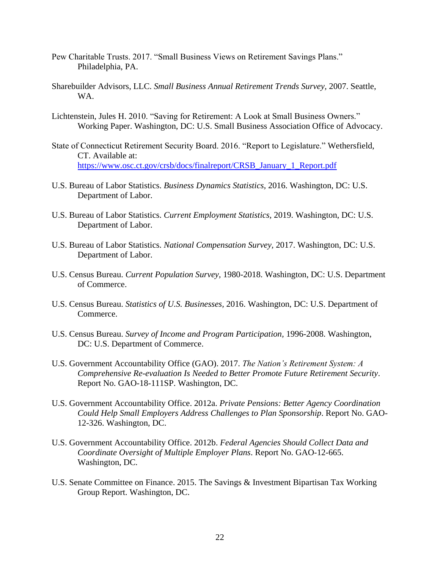- Pew Charitable Trusts. 2017. "Small Business Views on Retirement Savings Plans." Philadelphia, PA.
- Sharebuilder Advisors, LLC. *Small Business Annual Retirement Trends Survey,* 2007. Seattle, WA.
- Lichtenstein, Jules H. 2010. "Saving for Retirement: A Look at Small Business Owners." Working Paper. Washington, DC: U.S. Small Business Association Office of Advocacy.
- State of Connecticut Retirement Security Board. 2016. "Report to Legislature." Wethersfield, CT. Available at: [https://www.osc.ct.gov/crsb/docs/finalreport/CRSB\\_January\\_1\\_Report.pdf](https://www.osc.ct.gov/crsb/docs/finalreport/CRSB_January_1_Report.pdf)
- U.S. Bureau of Labor Statistics. *Business Dynamics Statistics,* 2016. Washington, DC: U.S. Department of Labor.
- U.S. Bureau of Labor Statistics. *Current Employment Statistics,* 2019. Washington, DC: U.S. Department of Labor.
- U.S. Bureau of Labor Statistics. *National Compensation Survey,* 2017. Washington, DC: U.S. Department of Labor.
- U.S. Census Bureau. *Current Population Survey,* 1980-2018. Washington, DC: U.S. Department of Commerce.
- U.S. Census Bureau. *Statistics of U.S. Businesses,* 2016. Washington, DC: U.S. Department of Commerce.
- U.S. Census Bureau. *Survey of Income and Program Participation,* 1996-2008. Washington, DC: U.S. Department of Commerce.
- U.S. Government Accountability Office (GAO). 2017. *The Nation's Retirement System: A Comprehensive Re-evaluation Is Needed to Better Promote Future Retirement Security*. Report No. GAO-18-111SP. Washington, DC.
- U.S. Government Accountability Office. 2012a. *Private Pensions: Better Agency Coordination Could Help Small Employers Address Challenges to Plan Sponsorship*. Report No. GAO-12-326. Washington, DC.
- U.S. Government Accountability Office. 2012b. *Federal Agencies Should Collect Data and Coordinate Oversight of Multiple Employer Plans*. Report No. GAO-12-665. Washington, DC.
- U.S. Senate Committee on Finance. 2015. The Savings & Investment Bipartisan Tax Working Group Report. Washington, DC.